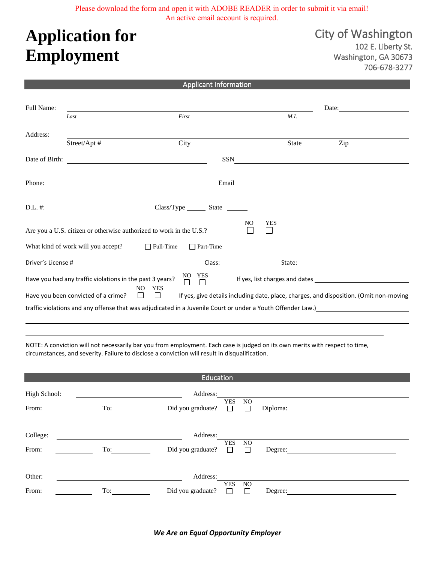Please download the form and open it with ADOBE READER in order to submit it via email! An active email account is required.

## **Application for Employment**

City of Washington 102 E. Liberty St. Washington, GA 30673 706-678-3277

## Applicant Information

| Full Name:     |                                                          |                                                                     |                                                                                                                                                                                                                               | Date:                 |                                                                                                                 |  |
|----------------|----------------------------------------------------------|---------------------------------------------------------------------|-------------------------------------------------------------------------------------------------------------------------------------------------------------------------------------------------------------------------------|-----------------------|-----------------------------------------------------------------------------------------------------------------|--|
|                | Last                                                     | First                                                               |                                                                                                                                                                                                                               | M.I.                  |                                                                                                                 |  |
| Address:       |                                                          |                                                                     |                                                                                                                                                                                                                               |                       |                                                                                                                 |  |
|                | Street/Apt #                                             | City                                                                |                                                                                                                                                                                                                               | State                 | Zip                                                                                                             |  |
| Date of Birth: |                                                          | <u> 1980 - John Stein, Amerikaansk politiker (</u>                  | <b>SSN</b>                                                                                                                                                                                                                    |                       |                                                                                                                 |  |
|                |                                                          |                                                                     |                                                                                                                                                                                                                               |                       |                                                                                                                 |  |
| Phone:         |                                                          |                                                                     | Email                                                                                                                                                                                                                         |                       |                                                                                                                 |  |
| D.L. #:        |                                                          | Class/Type State State                                              |                                                                                                                                                                                                                               |                       |                                                                                                                 |  |
|                |                                                          | Are you a U.S. citizen or otherwise authorized to work in the U.S.? | NO.                                                                                                                                                                                                                           | <b>YES</b><br>$\perp$ |                                                                                                                 |  |
|                | What kind of work will you accept? $\Box$ Full-Time      | $\Box$ Part-Time                                                    |                                                                                                                                                                                                                               |                       |                                                                                                                 |  |
|                |                                                          |                                                                     | Class: and a set of the set of the set of the set of the set of the set of the set of the set of the set of the set of the set of the set of the set of the set of the set of the set of the set of the set of the set of the |                       |                                                                                                                 |  |
|                | Have you had any traffic violations in the past 3 years? | NO.<br>YES<br>П<br>П                                                |                                                                                                                                                                                                                               |                       |                                                                                                                 |  |
|                | Have you been convicted of a crime?                      | <b>YES</b><br>NO.<br>$\Box$ $\Box$                                  |                                                                                                                                                                                                                               |                       | If yes, give details including date, place, charges, and disposition. (Omit non-moving                          |  |
|                |                                                          |                                                                     |                                                                                                                                                                                                                               |                       | traffic violations and any offense that was adjudicated in a Juvenile Court or under a Youth Offender Law.)<br> |  |

NOTE: A conviction will not necessarily bar you from employment. Each case is judged on its own merits with respect to time, circumstances, and severity. Failure to disclose a conviction will result in disqualification.

| Education             |     |                               |                              |               |          |  |  |
|-----------------------|-----|-------------------------------|------------------------------|---------------|----------|--|--|
| High School:<br>From: | To: | Address:<br>Did you graduate? | <b>YES</b><br>П              | NO.<br>$\Box$ | Diploma: |  |  |
| College:<br>From:     | To: | Address:<br>Did you graduate? | <b>YES</b><br>$\Box$         | NO.<br>$\Box$ | Degree:  |  |  |
| Other:<br>From:       | To: | Address:<br>Did you graduate? | <b>YES</b><br>$\blacksquare$ | NO.<br>П      | Degree:  |  |  |

*We Are an Equal Opportunity Employer*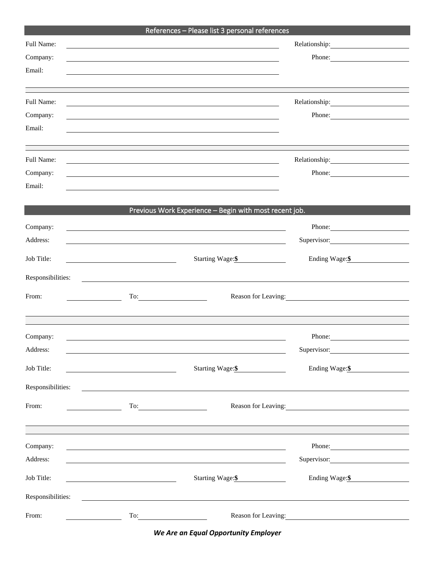|                                                  |                                                       | References - Please list 3 personal references                                                                                                                                                                                                                                                                                                                                                                                                                                                                                                 |                     |  |
|--------------------------------------------------|-------------------------------------------------------|------------------------------------------------------------------------------------------------------------------------------------------------------------------------------------------------------------------------------------------------------------------------------------------------------------------------------------------------------------------------------------------------------------------------------------------------------------------------------------------------------------------------------------------------|---------------------|--|
| Full Name:                                       |                                                       | and the control of the control of the control of the control of the control of the control of the control of the                                                                                                                                                                                                                                                                                                                                                                                                                               |                     |  |
| Company:                                         |                                                       |                                                                                                                                                                                                                                                                                                                                                                                                                                                                                                                                                | Phone:              |  |
| Email:                                           |                                                       |                                                                                                                                                                                                                                                                                                                                                                                                                                                                                                                                                |                     |  |
|                                                  |                                                       |                                                                                                                                                                                                                                                                                                                                                                                                                                                                                                                                                |                     |  |
| Full Name:                                       |                                                       |                                                                                                                                                                                                                                                                                                                                                                                                                                                                                                                                                |                     |  |
| Company:                                         |                                                       |                                                                                                                                                                                                                                                                                                                                                                                                                                                                                                                                                | Phone:              |  |
| Email:                                           |                                                       |                                                                                                                                                                                                                                                                                                                                                                                                                                                                                                                                                |                     |  |
|                                                  |                                                       |                                                                                                                                                                                                                                                                                                                                                                                                                                                                                                                                                |                     |  |
| Full Name:                                       |                                                       | <u> 1989 - John Stein, september 1989 - John Stein, september 1989 - John Stein, september 1989 - John Stein, sep</u>                                                                                                                                                                                                                                                                                                                                                                                                                          |                     |  |
| Company:                                         |                                                       |                                                                                                                                                                                                                                                                                                                                                                                                                                                                                                                                                | Phone:              |  |
| Email:                                           |                                                       |                                                                                                                                                                                                                                                                                                                                                                                                                                                                                                                                                |                     |  |
|                                                  |                                                       |                                                                                                                                                                                                                                                                                                                                                                                                                                                                                                                                                |                     |  |
|                                                  |                                                       | Previous Work Experience - Begin with most recent job.                                                                                                                                                                                                                                                                                                                                                                                                                                                                                         |                     |  |
| Company:                                         |                                                       |                                                                                                                                                                                                                                                                                                                                                                                                                                                                                                                                                | Phone: 2008         |  |
| Address:                                         |                                                       |                                                                                                                                                                                                                                                                                                                                                                                                                                                                                                                                                | Supervisor:         |  |
| Job Title:                                       |                                                       | Starting Wage:\$                                                                                                                                                                                                                                                                                                                                                                                                                                                                                                                               | Ending Wage:\$      |  |
| Responsibilities:                                | <u> 1980 - Andrea Stadt Britain, fransk politik (</u> |                                                                                                                                                                                                                                                                                                                                                                                                                                                                                                                                                |                     |  |
| From:                                            |                                                       | $\Gamma$ o: $\begin{array}{ c c c c c }\n\hline\n\text{---}\quad\text{---}\quad\text{---}\quad\text{---}\quad\text{---}\quad\text{---}\quad\text{---}\quad\text{---}\quad\text{---}\quad\text{---}\quad\text{---}\quad\text{---}\quad\text{---}\quad\text{---}\quad\text{---}\quad\text{---}\quad\text{---}\quad\text{---}\quad\text{---}\quad\text{---}\quad\text{---}\quad\text{---}\quad\text{---}\quad\text{---}\quad\text{---}\quad\text{---}\quad\text{---}\quad\text{---}\quad\text{---}\quad\text{---}\quad\text{---}\quad\text{---}\$ | Reason for Leaving: |  |
|                                                  |                                                       |                                                                                                                                                                                                                                                                                                                                                                                                                                                                                                                                                |                     |  |
|                                                  |                                                       |                                                                                                                                                                                                                                                                                                                                                                                                                                                                                                                                                |                     |  |
| Company:                                         |                                                       |                                                                                                                                                                                                                                                                                                                                                                                                                                                                                                                                                | Phone:              |  |
| Address:                                         |                                                       |                                                                                                                                                                                                                                                                                                                                                                                                                                                                                                                                                | Supervisor:         |  |
| Job Title:                                       | <u> 1980 - Johann Barbara, martxa alemaniar a</u>     | Starting Wage:\$                                                                                                                                                                                                                                                                                                                                                                                                                                                                                                                               | Ending Wage:\$      |  |
| Responsibilities:                                |                                                       | <u> 1989 - Johann Barn, fransk politik (d. 1989)</u>                                                                                                                                                                                                                                                                                                                                                                                                                                                                                           |                     |  |
| From:<br><u> 1990 - Johann Barbara, martin e</u> |                                                       | $\begin{tabular}{c} To: \end{tabular}$                                                                                                                                                                                                                                                                                                                                                                                                                                                                                                         | Reason for Leaving: |  |
|                                                  |                                                       |                                                                                                                                                                                                                                                                                                                                                                                                                                                                                                                                                |                     |  |
|                                                  |                                                       |                                                                                                                                                                                                                                                                                                                                                                                                                                                                                                                                                |                     |  |
| Company:                                         |                                                       | <u> 1989 - Johann Stoff, amerikansk politiker (* 1908)</u>                                                                                                                                                                                                                                                                                                                                                                                                                                                                                     | Phone: 2008         |  |
| Address:                                         |                                                       |                                                                                                                                                                                                                                                                                                                                                                                                                                                                                                                                                | Supervisor:         |  |
| Job Title:                                       |                                                       | Starting Wage: \$                                                                                                                                                                                                                                                                                                                                                                                                                                                                                                                              | Ending Wage: \$     |  |
| Responsibilities:                                |                                                       |                                                                                                                                                                                                                                                                                                                                                                                                                                                                                                                                                |                     |  |
| From:                                            |                                                       | $To: \begin{tabular}{ c c c c } \hline \quad \quad & \quad \quad & \quad \quad \\ \hline \end{tabular}$                                                                                                                                                                                                                                                                                                                                                                                                                                        | Reason for Leaving: |  |
|                                                  |                                                       |                                                                                                                                                                                                                                                                                                                                                                                                                                                                                                                                                |                     |  |

*We Are an Equal Opportunity Employer*